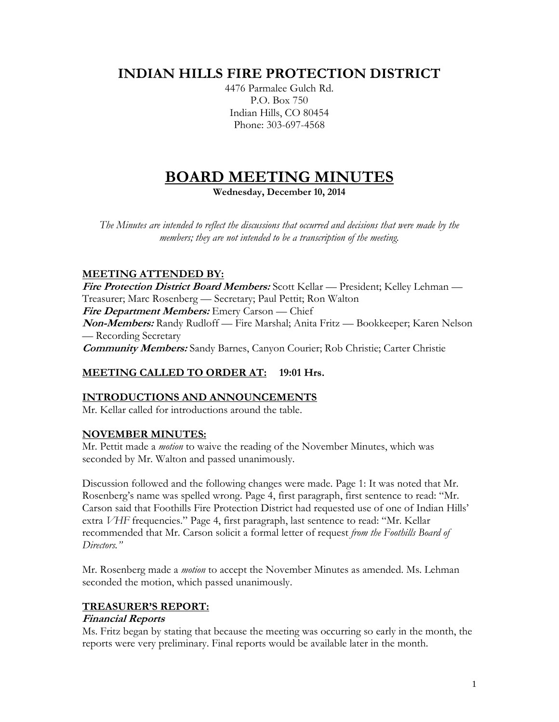# **INDIAN HILLS FIRE PROTECTION DISTRICT**

4476 Parmalee Gulch Rd. P.O. Box 750 Indian Hills, CO 80454 Phone: 303-697-4568

# **BOARD MEETING MINUTES**

**Wednesday, December 10, 2014**

*The Minutes are intended to reflect the discussions that occurred and decisions that were made by the members; they are not intended to be a transcription of the meeting.*

# **MEETING ATTENDED BY:**

**Fire Protection District Board Members:** Scott Kellar — President; Kelley Lehman — Treasurer; Marc Rosenberg — Secretary; Paul Pettit; Ron Walton **Fire Department Members:** Emery Carson — Chief **Non-Members:** Randy Rudloff — Fire Marshal; Anita Fritz — Bookkeeper; Karen Nelson — Recording Secretary **Community Members:** Sandy Barnes, Canyon Courier; Rob Christie; Carter Christie

#### **MEETING CALLED TO ORDER AT: 19:01 Hrs.**

#### **INTRODUCTIONS AND ANNOUNCEMENTS**

Mr. Kellar called for introductions around the table.

#### **NOVEMBER MINUTES:**

Mr. Pettit made a *motion* to waive the reading of the November Minutes, which was seconded by Mr. Walton and passed unanimously.

Discussion followed and the following changes were made. Page 1: It was noted that Mr. Rosenberg's name was spelled wrong. Page 4, first paragraph, first sentence to read: "Mr. Carson said that Foothills Fire Protection District had requested use of one of Indian Hills' extra *VHF* frequencies." Page 4, first paragraph, last sentence to read: "Mr. Kellar recommended that Mr. Carson solicit a formal letter of request *from the Foothills Board of Directors."*

Mr. Rosenberg made a *motion* to accept the November Minutes as amended. Ms. Lehman seconded the motion, which passed unanimously.

#### **TREASURER'S REPORT:**

#### **Financial Reports**

Ms. Fritz began by stating that because the meeting was occurring so early in the month, the reports were very preliminary. Final reports would be available later in the month.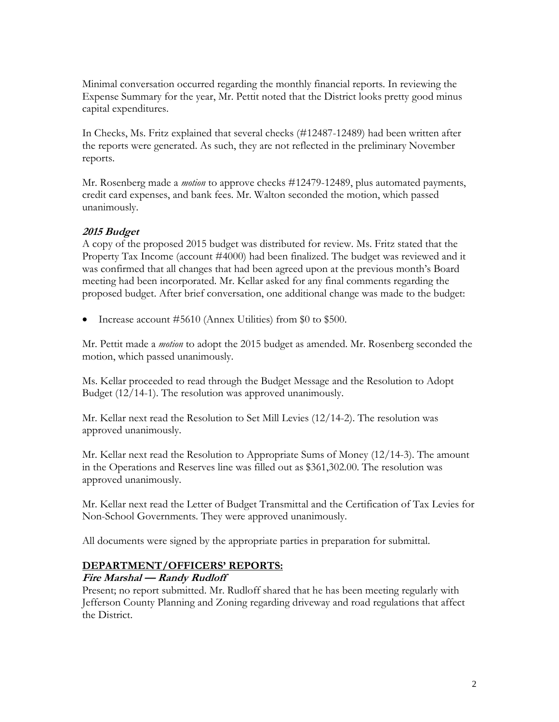Minimal conversation occurred regarding the monthly financial reports. In reviewing the Expense Summary for the year, Mr. Pettit noted that the District looks pretty good minus capital expenditures.

In Checks, Ms. Fritz explained that several checks (#12487-12489) had been written after the reports were generated. As such, they are not reflected in the preliminary November reports.

Mr. Rosenberg made a *motion* to approve checks #12479-12489, plus automated payments, credit card expenses, and bank fees. Mr. Walton seconded the motion, which passed unanimously.

#### **2015 Budget**

A copy of the proposed 2015 budget was distributed for review. Ms. Fritz stated that the Property Tax Income (account #4000) had been finalized. The budget was reviewed and it was confirmed that all changes that had been agreed upon at the previous month's Board meeting had been incorporated. Mr. Kellar asked for any final comments regarding the proposed budget. After brief conversation, one additional change was made to the budget:

Increase account #5610 (Annex Utilities) from \$0 to \$500.

Mr. Pettit made a *motion* to adopt the 2015 budget as amended. Mr. Rosenberg seconded the motion, which passed unanimously.

Ms. Kellar proceeded to read through the Budget Message and the Resolution to Adopt Budget (12/14-1). The resolution was approved unanimously.

Mr. Kellar next read the Resolution to Set Mill Levies (12/14-2). The resolution was approved unanimously.

Mr. Kellar next read the Resolution to Appropriate Sums of Money (12/14-3). The amount in the Operations and Reserves line was filled out as \$361,302.00. The resolution was approved unanimously.

Mr. Kellar next read the Letter of Budget Transmittal and the Certification of Tax Levies for Non-School Governments. They were approved unanimously.

All documents were signed by the appropriate parties in preparation for submittal.

#### **DEPARTMENT/OFFICERS' REPORTS:**

#### **Fire Marshal — Randy Rudloff**

Present; no report submitted. Mr. Rudloff shared that he has been meeting regularly with Jefferson County Planning and Zoning regarding driveway and road regulations that affect the District.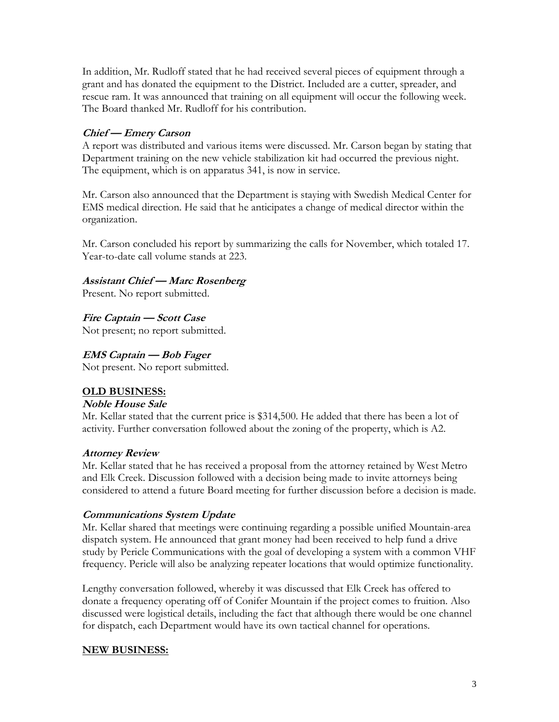In addition, Mr. Rudloff stated that he had received several pieces of equipment through a grant and has donated the equipment to the District. Included are a cutter, spreader, and rescue ram. It was announced that training on all equipment will occur the following week. The Board thanked Mr. Rudloff for his contribution.

## **Chief — Emery Carson**

A report was distributed and various items were discussed. Mr. Carson began by stating that Department training on the new vehicle stabilization kit had occurred the previous night. The equipment, which is on apparatus 341, is now in service.

Mr. Carson also announced that the Department is staying with Swedish Medical Center for EMS medical direction. He said that he anticipates a change of medical director within the organization.

Mr. Carson concluded his report by summarizing the calls for November, which totaled 17. Year-to-date call volume stands at 223.

#### **Assistant Chief — Marc Rosenberg**

Present. No report submitted.

**Fire Captain — Scott Case** Not present; no report submitted.

### **EMS Captain — Bob Fager**

Not present. No report submitted.

#### **OLD BUSINESS:**

#### **Noble House Sale**

Mr. Kellar stated that the current price is \$314,500. He added that there has been a lot of activity. Further conversation followed about the zoning of the property, which is A2.

#### **Attorney Review**

Mr. Kellar stated that he has received a proposal from the attorney retained by West Metro and Elk Creek. Discussion followed with a decision being made to invite attorneys being considered to attend a future Board meeting for further discussion before a decision is made.

#### **Communications System Update**

Mr. Kellar shared that meetings were continuing regarding a possible unified Mountain-area dispatch system. He announced that grant money had been received to help fund a drive study by Pericle Communications with the goal of developing a system with a common VHF frequency. Pericle will also be analyzing repeater locations that would optimize functionality.

Lengthy conversation followed, whereby it was discussed that Elk Creek has offered to donate a frequency operating off of Conifer Mountain if the project comes to fruition. Also discussed were logistical details, including the fact that although there would be one channel for dispatch, each Department would have its own tactical channel for operations.

#### **NEW BUSINESS:**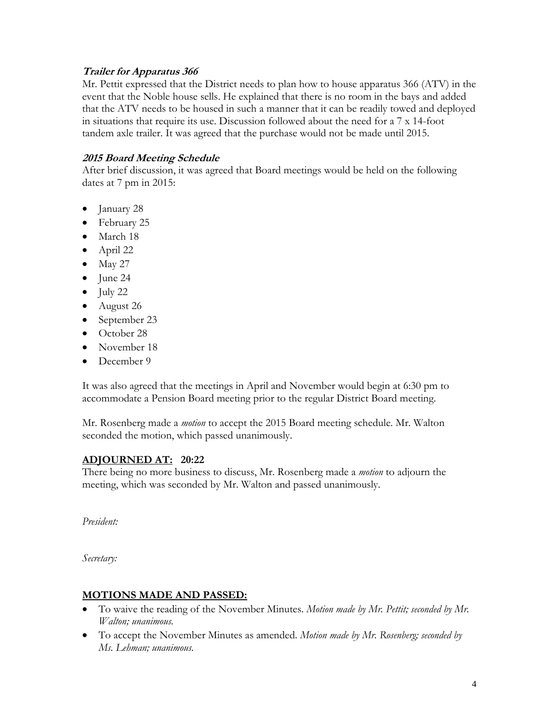#### **Trailer for Apparatus 366**

Mr. Pettit expressed that the District needs to plan how to house apparatus 366 (ATV) in the event that the Noble house sells. He explained that there is no room in the bays and added that the ATV needs to be housed in such a manner that it can be readily towed and deployed in situations that require its use. Discussion followed about the need for a 7 x 14-foot tandem axle trailer. It was agreed that the purchase would not be made until 2015.

#### **2015 Board Meeting Schedule**

After brief discussion, it was agreed that Board meetings would be held on the following dates at 7 pm in 2015:

- January 28
- February 25
- March 18
- April 22
- $\bullet$  May 27
- $\bullet$  June 24
- $\bullet$  July 22
- August 26
- September 23
- October 28
- November 18
- December 9

It was also agreed that the meetings in April and November would begin at 6:30 pm to accommodate a Pension Board meeting prior to the regular District Board meeting.

Mr. Rosenberg made a *motion* to accept the 2015 Board meeting schedule. Mr. Walton seconded the motion, which passed unanimously.

# **ADJOURNED AT: 20:22**

There being no more business to discuss, Mr. Rosenberg made a *motion* to adjourn the meeting, which was seconded by Mr. Walton and passed unanimously.

*President:*

*Secretary:*

#### **MOTIONS MADE AND PASSED:**

- To waive the reading of the November Minutes. *Motion made by Mr. Pettit; seconded by Mr. Walton; unanimous.*
- To accept the November Minutes as amended. *Motion made by Mr. Rosenberg; seconded by Ms. Lehman; unanimous.*